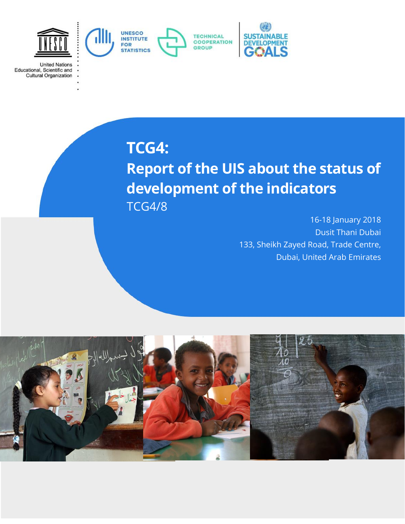

**TCG4:**

**United Nations** 

Educational, Scientific and<br>Cultural Organization

# **Report of the UIS about the status of development of the indicators** TCG4/8

16-18 January 2018 Dusit Thani Dubai 133, Sheikh Zayed Road, Trade Centre, Dubai, United Arab Emirates

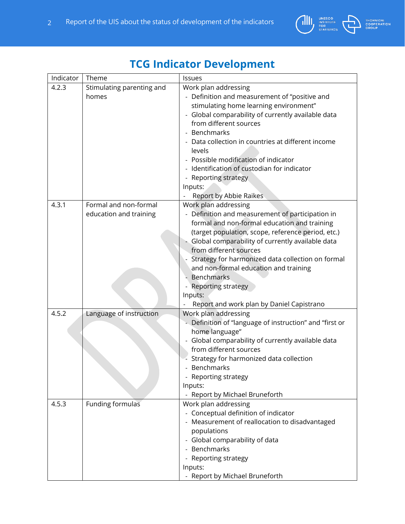

# **TCG Indicator Development**

| Indicator | Theme                     | Issues                                                  |  |
|-----------|---------------------------|---------------------------------------------------------|--|
| 4.2.3     | Stimulating parenting and | Work plan addressing                                    |  |
|           | homes                     | - Definition and measurement of "positive and           |  |
|           |                           | stimulating home learning environment"                  |  |
|           |                           | - Global comparability of currently available data      |  |
|           |                           | from different sources                                  |  |
|           |                           | - Benchmarks                                            |  |
|           |                           | Data collection in countries at different income        |  |
|           |                           | levels                                                  |  |
|           |                           | - Possible modification of indicator                    |  |
|           |                           | Identification of custodian for indicator               |  |
|           |                           | - Reporting strategy                                    |  |
|           |                           | Inputs:                                                 |  |
|           |                           | Report by Abbie Raikes                                  |  |
| 4.3.1     | Formal and non-formal     | Work plan addressing                                    |  |
|           | education and training    | - Definition and measurement of participation in        |  |
|           |                           | formal and non-formal education and training            |  |
|           |                           | (target population, scope, reference period, etc.)      |  |
|           |                           | - Global comparability of currently available data      |  |
|           |                           | from different sources                                  |  |
|           |                           | Strategy for harmonized data collection on formal       |  |
|           |                           | and non-formal education and training                   |  |
|           |                           | <b>Benchmarks</b>                                       |  |
|           |                           | Reporting strategy                                      |  |
|           |                           | Inputs:                                                 |  |
|           |                           | Report and work plan by Daniel Capistrano               |  |
| 4.5.2     | Language of instruction   | Work plan addressing                                    |  |
|           |                           | - Definition of "language of instruction" and "first or |  |
|           |                           | home language"                                          |  |
|           |                           | - Global comparability of currently available data      |  |
|           |                           | from different sources                                  |  |
|           |                           | Strategy for harmonized data collection                 |  |
|           |                           | Benchmarks                                              |  |
|           |                           | - Reporting strategy                                    |  |
|           |                           | Inputs:                                                 |  |
|           |                           | - Report by Michael Bruneforth                          |  |
| 4.5.3     | Funding formulas          | Work plan addressing                                    |  |
|           |                           | - Conceptual definition of indicator                    |  |
|           |                           | - Measurement of reallocation to disadvantaged          |  |
|           |                           | populations                                             |  |
|           |                           | - Global comparability of data                          |  |
|           |                           | - Benchmarks                                            |  |
|           |                           | - Reporting strategy                                    |  |
|           |                           | Inputs:                                                 |  |
|           |                           | - Report by Michael Bruneforth                          |  |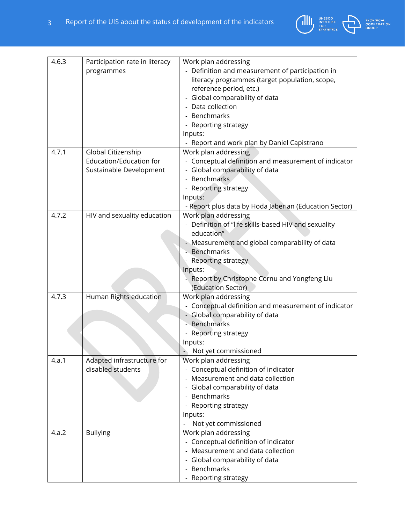

| 4.6.3 | Participation rate in literacy<br>programmes                             | Work plan addressing<br>- Definition and measurement of participation in<br>literacy programmes (target population, scope,<br>reference period, etc.)<br>- Global comparability of data<br>- Data collection<br>- Benchmarks<br>- Reporting strategy<br>Inputs:<br>- Report and work plan by Daniel Capistrano |
|-------|--------------------------------------------------------------------------|----------------------------------------------------------------------------------------------------------------------------------------------------------------------------------------------------------------------------------------------------------------------------------------------------------------|
| 4.7.1 | Global Citizenship<br>Education/Education for<br>Sustainable Development | Work plan addressing<br>- Conceptual definition and measurement of indicator<br>- Global comparability of data<br>- Benchmarks<br>- Reporting strategy<br>Inputs:<br>- Report plus data by Hoda Jaberian (Education Sector)                                                                                    |
| 4.7.2 | HIV and sexuality education                                              | Work plan addressing<br>- Definition of "life skills-based HIV and sexuality<br>education"<br>- Measurement and global comparability of data<br>- Benchmarks<br>Reporting strategy<br>Inputs:<br>Report by Christophe Cornu and Yongfeng Liu<br>(Education Sector)                                             |
| 4.7.3 | Human Rights education                                                   | Work plan addressing<br>- Conceptual definition and measurement of indicator<br>- Global comparability of data<br>Benchmarks<br>Reporting strategy<br>Inputs:<br>Not yet commissioned                                                                                                                          |
| 4.a.1 | Adapted infrastructure for<br>disabled students                          | Work plan addressing<br>- Conceptual definition of indicator<br>Measurement and data collection<br>- Global comparability of data<br><b>Benchmarks</b><br>Reporting strategy<br>Inputs:<br>Not yet commissioned                                                                                                |
| 4.a.2 | <b>Bullying</b>                                                          | Work plan addressing<br>- Conceptual definition of indicator<br>- Measurement and data collection<br>- Global comparability of data<br>- Benchmarks<br>- Reporting strategy                                                                                                                                    |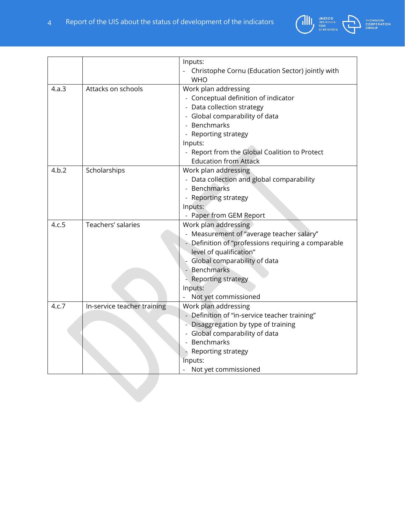

|       |                             | Inputs:                                             |
|-------|-----------------------------|-----------------------------------------------------|
|       |                             | Christophe Cornu (Education Sector) jointly with    |
|       |                             | <b>WHO</b>                                          |
| 4.a.3 | Attacks on schools          | Work plan addressing                                |
|       |                             | - Conceptual definition of indicator                |
|       |                             | - Data collection strategy                          |
|       |                             | - Global comparability of data                      |
|       |                             | - Benchmarks                                        |
|       |                             | - Reporting strategy                                |
|       |                             | Inputs:                                             |
|       |                             | - Report from the Global Coalition to Protect       |
|       |                             | <b>Education from Attack</b>                        |
| 4.b.2 | Scholarships                | Work plan addressing                                |
|       |                             | - Data collection and global comparability          |
|       |                             | - Benchmarks                                        |
|       |                             | - Reporting strategy                                |
|       |                             | Inputs:                                             |
|       |                             | - Paper from GEM Report                             |
| 4.c.5 | Teachers' salaries          | Work plan addressing                                |
|       |                             | - Measurement of "average teacher salary"           |
|       |                             | - Definition of "professions requiring a comparable |
|       |                             | level of qualification"                             |
|       |                             | Global comparability of data                        |
|       |                             | - Benchmarks                                        |
|       |                             | <b>Reporting strategy</b>                           |
|       |                             | Inputs:                                             |
|       |                             | Not yet commissioned                                |
| 4.c.7 | In-service teacher training | Work plan addressing                                |
|       |                             | - Definition of "in-service teacher training"       |
|       |                             | - Disaggregation by type of training                |
|       |                             | - Global comparability of data                      |
|       |                             | - Benchmarks                                        |
|       |                             | - Reporting strategy                                |
|       |                             | Inputs:                                             |
|       |                             | Not yet commissioned                                |
|       |                             |                                                     |
|       |                             |                                                     |
|       |                             |                                                     |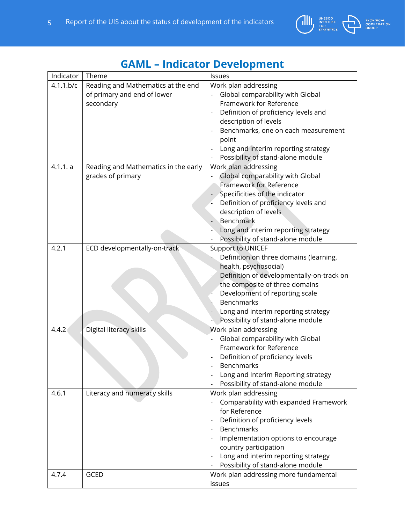

| Indicator | Theme                                | Issues                                    |  |
|-----------|--------------------------------------|-------------------------------------------|--|
| 4.1.1.b/c | Reading and Mathematics at the end   | Work plan addressing                      |  |
|           | of primary and end of lower          | Global comparability with Global          |  |
|           | secondary                            | Framework for Reference                   |  |
|           |                                      | Definition of proficiency levels and      |  |
|           |                                      | description of levels                     |  |
|           |                                      | Benchmarks, one on each measurement       |  |
|           |                                      | point                                     |  |
|           |                                      | Long and interim reporting strategy       |  |
|           |                                      | Possibility of stand-alone module         |  |
| 4.1.1. a  | Reading and Mathematics in the early | Work plan addressing                      |  |
|           | grades of primary                    | Global comparability with Global          |  |
|           |                                      | Framework for Reference                   |  |
|           |                                      | Specificities of the indicator            |  |
|           |                                      | Definition of proficiency levels and      |  |
|           |                                      | description of levels.                    |  |
|           |                                      | Benchmark                                 |  |
|           |                                      | Long and interim reporting strategy       |  |
|           |                                      | Possibility of stand-alone module         |  |
| 4.2.1     | ECD developmentally-on-track         | <b>Support to UNICEF</b>                  |  |
|           |                                      | Definition on three domains (learning,    |  |
|           |                                      | health, psychosocial)                     |  |
|           |                                      | Definition of developmentally-on-track on |  |
|           |                                      | the composite of three domains            |  |
|           |                                      | Development of reporting scale            |  |
|           |                                      | <b>Benchmarks</b>                         |  |
|           |                                      | Long and interim reporting strategy       |  |
|           |                                      | Possibility of stand-alone module         |  |
| 4.4.2     | Digital literacy skills              | Work plan addressing                      |  |
|           |                                      | Global comparability with Global          |  |
|           |                                      | Framework for Reference                   |  |
|           |                                      | Definition of proficiency levels          |  |
|           |                                      | Benchmarks                                |  |
|           |                                      | Long and Interim Reporting strategy       |  |
|           |                                      | Possibility of stand-alone module         |  |
| 4.6.1     | Literacy and numeracy skills         | Work plan addressing                      |  |
|           |                                      | Comparability with expanded Framework     |  |
|           |                                      | for Reference                             |  |
|           |                                      | Definition of proficiency levels          |  |
|           |                                      | <b>Benchmarks</b>                         |  |
|           |                                      |                                           |  |
|           |                                      | Implementation options to encourage       |  |
|           |                                      | country participation                     |  |
|           |                                      | Long and interim reporting strategy       |  |
|           |                                      | Possibility of stand-alone module         |  |
| 4.7.4     | <b>GCED</b>                          | Work plan addressing more fundamental     |  |
|           |                                      | issues                                    |  |

## **GAML – Indicator Development**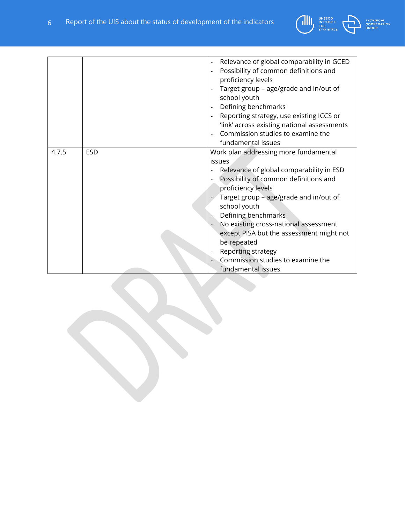

| <b>TECHNICAL</b>   |
|--------------------|
| <b>COOPERATION</b> |
| <b>GROUP</b>       |

|       |            | Relevance of global comparability in GCED<br>Possibility of common definitions and<br>proficiency levels<br>Target group - age/grade and in/out of<br>school youth<br>Defining benchmarks<br>Reporting strategy, use existing ICCS or<br>'link' across existing national assessments<br>Commission studies to examine the<br>fundamental issues                                                                                  |
|-------|------------|----------------------------------------------------------------------------------------------------------------------------------------------------------------------------------------------------------------------------------------------------------------------------------------------------------------------------------------------------------------------------------------------------------------------------------|
| 4.7.5 | <b>ESD</b> | Work plan addressing more fundamental<br>issues<br>Relevance of global comparability in ESD<br>Possibility of common definitions and<br>proficiency levels<br>Target group - age/grade and in/out of<br>school youth<br>Defining benchmarks<br>No existing cross-national assessment<br>except PISA but the assessment might not<br>be repeated<br>Reporting strategy<br>Commission studies to examine the<br>fundamental issues |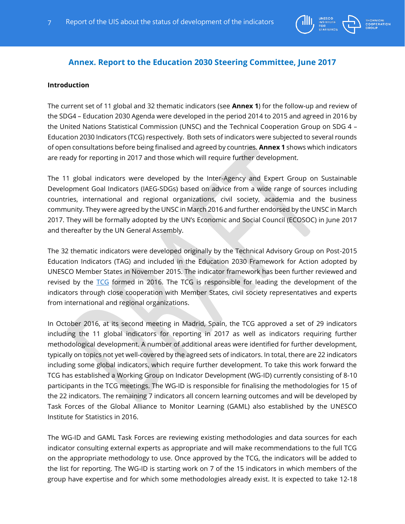

### **Annex. Report to the Education 2030 Steering Committee, June 2017**

#### **Introduction**

The current set of 11 global and 32 thematic indicators (see **Annex 1**) for the follow-up and review of the SDG4 – Education 2030 Agenda were developed in the period 2014 to 2015 and agreed in 2016 by the United Nations Statistical Commission (UNSC) and the Technical Cooperation Group on SDG 4 – Education 2030 Indicators (TCG) respectively. Both sets of indicators were subjected to several rounds of open consultations before being finalised and agreed by countries. **Annex 1** shows which indicators are ready for reporting in 2017 and those which will require further development.

The 11 global indicators were developed by the Inter-Agency and Expert Group on Sustainable Development Goal Indicators (IAEG-SDGs) based on advice from a wide range of sources including countries, international and regional organizations, civil society, academia and the business community. They were agreed by the UNSC in March 2016 and further endorsed by the UNSC in March 2017. They will be formally adopted by the UN's Economic and Social Council (ECOSOC) in June 2017 and thereafter by the UN General Assembly.

The 32 thematic indicators were developed originally by the Technical Advisory Group on Post-2015 Education Indicators (TAG) and included in the Education 2030 Framework for Action adopted by UNESCO Member States in November 2015. The indicator framework has been further reviewed and revised by the [TCG](http://tcg.uis.unesco.org/) formed in 2016. The TCG is responsible for leading the development of the indicators through close cooperation with Member States, civil society representatives and experts from international and regional organizations.

In October 2016, at its second meeting in Madrid, Spain, the TCG approved a set of 29 indicators including the 11 global indicators for reporting in 2017 as well as indicators requiring further methodological development. A number of additional areas were identified for further development, typically on topics not yet well-covered by the agreed sets of indicators. In total, there are 22 indicators including some global indicators, which require further development. To take this work forward the TCG has established a Working Group on Indicator Development (WG-ID) currently consisting of 8-10 participants in the TCG meetings. The WG-ID is responsible for finalising the methodologies for 15 of the 22 indicators. The remaining 7 indicators all concern learning outcomes and will be developed by Task Forces of the Global Alliance to Monitor Learning (GAML) also established by the UNESCO Institute for Statistics in 2016.

The WG-ID and GAML Task Forces are reviewing existing methodologies and data sources for each indicator consulting external experts as appropriate and will make recommendations to the full TCG on the appropriate methodology to use. Once approved by the TCG, the indicators will be added to the list for reporting. The WG-ID is starting work on 7 of the 15 indicators in which members of the group have expertise and for which some methodologies already exist. It is expected to take 12-18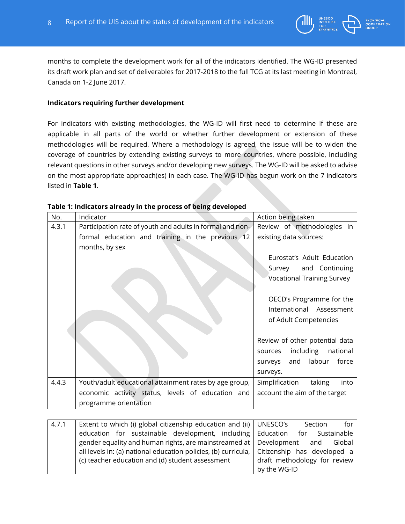

months to complete the development work for all of the indicators identified. The WG-ID presented its draft work plan and set of deliverables for 2017-2018 to the full TCG at its last meeting in Montreal, Canada on 1-2 June 2017.

#### **Indicators requiring further development**

For indicators with existing methodologies, the WG-ID will first need to determine if these are applicable in all parts of the world or whether further development or extension of these methodologies will be required. Where a methodology is agreed, the issue will be to widen the coverage of countries by extending existing surveys to more countries, where possible, including relevant questions in other surveys and/or developing new surveys. The WG-ID will be asked to advise on the most appropriate approach(es) in each case. The WG-ID has begun work on the 7 indicators listed in **Table 1**.

| No.   | Indicator                                                 | Action being taken                |  |
|-------|-----------------------------------------------------------|-----------------------------------|--|
| 4.3.1 | Participation rate of youth and adults in formal and non- | Review of methodologies in        |  |
|       | formal education and training in the previous 12          | existing data sources:            |  |
|       | months, by sex                                            |                                   |  |
|       |                                                           | Eurostat's Adult Education        |  |
|       |                                                           | Survey<br>and Continuing          |  |
|       |                                                           | <b>Vocational Training Survey</b> |  |
|       |                                                           |                                   |  |
|       |                                                           | OECD's Programme for the          |  |
|       |                                                           | International<br>Assessment       |  |
|       |                                                           | of Adult Competencies             |  |
|       |                                                           |                                   |  |
|       |                                                           | Review of other potential data    |  |
|       |                                                           | including<br>national<br>sources  |  |
|       |                                                           | labour<br>and<br>force<br>surveys |  |
|       |                                                           | surveys.                          |  |
| 4.4.3 | Youth/adult educational attainment rates by age group,    | Simplification<br>taking<br>into  |  |
|       | economic activity status, levels of education and         | account the aim of the target     |  |
|       | programme orientation                                     |                                   |  |
|       |                                                           |                                   |  |
| 4.7.1 | Extent to which (i) global citizenship education and (ii) | UNESCO's<br>for<br>Section        |  |
|       | education for sustainable development, including          | Education<br>Sustainable<br>for   |  |

#### **Table 1: Indicators already in the process of being developed**

| 4.7.1 | Extent to which (i) global citizenship education and (ii) $\vert$ UNESCO's                         | for<br>Section               |
|-------|----------------------------------------------------------------------------------------------------|------------------------------|
|       | education for sustainable development, including   Education                                       | for Sustainable              |
|       | gender equality and human rights, are mainstreamed at Development and Global                       |                              |
|       | all levels in: (a) national education policies, (b) curricula, $\vert$ Citizenship has developed a |                              |
|       | (c) teacher education and (d) student assessment                                                   | draft methodology for review |
|       |                                                                                                    | by the WG-ID                 |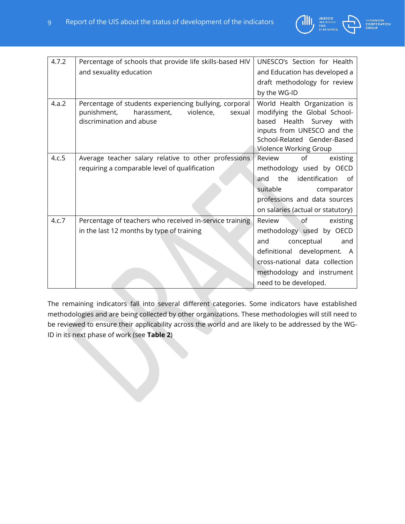

**CAL**<br>RATION

need to be developed.

| 4.7.2 | Percentage of schools that provide life skills-based HIV                                                                                | UNESCO's Section for Health                                                                                                                                                     |
|-------|-----------------------------------------------------------------------------------------------------------------------------------------|---------------------------------------------------------------------------------------------------------------------------------------------------------------------------------|
|       | and sexuality education                                                                                                                 | and Education has developed a                                                                                                                                                   |
|       |                                                                                                                                         | draft methodology for review                                                                                                                                                    |
|       |                                                                                                                                         | by the WG-ID                                                                                                                                                                    |
| 4.a.2 | Percentage of students experiencing bullying, corporal<br>punishment,<br>harassment,<br>violence,<br>sexual<br>discrimination and abuse | World Health Organization is<br>modifying the Global School-<br>based Health Survey with<br>inputs from UNESCO and the<br>School-Related Gender-Based<br>Violence Working Group |
| 4.c.5 | Average teacher salary relative to other professions                                                                                    | Review<br>of<br>existing                                                                                                                                                        |
|       | requiring a comparable level of qualification                                                                                           | methodology used by OECD                                                                                                                                                        |
|       |                                                                                                                                         | the identification of<br>and                                                                                                                                                    |
|       |                                                                                                                                         | suitable<br>comparator                                                                                                                                                          |
|       |                                                                                                                                         | professions and data sources                                                                                                                                                    |
|       |                                                                                                                                         | on salaries (actual or statutory)                                                                                                                                               |
| 4.c.7 | Percentage of teachers who received in-service training                                                                                 | ∘of<br>Review<br>existing                                                                                                                                                       |
|       | in the last 12 months by type of training                                                                                               | methodology used by OECD                                                                                                                                                        |
|       |                                                                                                                                         | conceptual<br>and<br>and                                                                                                                                                        |
|       |                                                                                                                                         | definitional development. A                                                                                                                                                     |
|       |                                                                                                                                         | cross-national data collection                                                                                                                                                  |
|       |                                                                                                                                         | methodology and instrument                                                                                                                                                      |

The remaining indicators fall into several different categories. Some indicators have established methodologies and are being collected by other organizations. These methodologies will still need to be reviewed to ensure their applicability across the world and are likely to be addressed by the WG-ID in its next phase of work (see **Table 2**)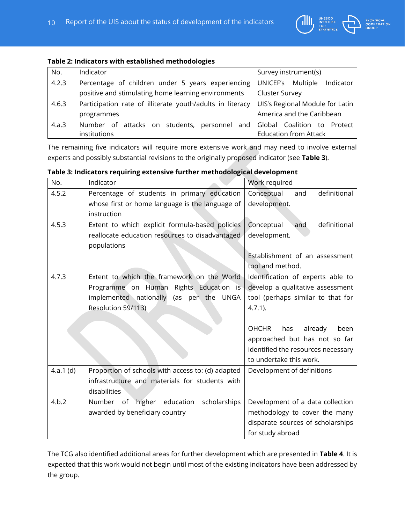

#### **Table 2: Indicators with established methodologies**

| No.   | Indicator                                                 | Survey instrument(s)              |  |
|-------|-----------------------------------------------------------|-----------------------------------|--|
| 4.2.3 | Percentage of children under 5 years experiencing         | UNICEF's<br>Indicator<br>Multiple |  |
|       | positive and stimulating home learning environments       | <b>Cluster Survey</b>             |  |
| 4.6.3 | Participation rate of illiterate youth/adults in literacy | UIS's Regional Module for Latin   |  |
|       | programmes                                                | America and the Caribbean         |  |
| 4.a.3 | Number of attacks on students, personnel and              | Global Coalition to Protect       |  |
|       | institutions                                              | <b>Education from Attack</b>      |  |

The remaining five indicators will require more extensive work and may need to involve external experts and possibly substantial revisions to the originally proposed indicator (see **Table 3**).

#### **Table 3: Indicators requiring extensive further methodological development**

| No.         | Indicator                                         | Work required                          |
|-------------|---------------------------------------------------|----------------------------------------|
| 4.5.2       | Percentage of students in primary education       | definitional<br>Conceptual<br>and      |
|             | whose first or home language is the language of   | development.                           |
|             | instruction                                       |                                        |
| 4.5.3       | Extent to which explicit formula-based policies   | Conceptual<br>definitional<br>and      |
|             | reallocate education resources to disadvantaged   | development.                           |
|             | populations                                       |                                        |
|             |                                                   | Establishment of an assessment         |
|             |                                                   | tool and method.                       |
| 4.7.3       | Extent to which the framework on the World        | Identification of experts able to      |
|             | Programme on Human Rights Education is            | develop a qualitative assessment       |
|             | implemented nationally (as per the UNGA           | tool (perhaps similar to that for      |
|             | Resolution 59/113)                                | $4.7.1$ ).                             |
|             |                                                   |                                        |
|             |                                                   | already<br><b>OHCHR</b><br>has<br>been |
|             |                                                   | approached but has not so far          |
|             |                                                   | identified the resources necessary     |
|             |                                                   | to undertake this work.                |
| 4.a.1 $(d)$ | Proportion of schools with access to: (d) adapted | Development of definitions             |
|             | infrastructure and materials for students with    |                                        |
|             | disabilities                                      |                                        |
| 4.b.2       | Number of higher education<br>scholarships        | Development of a data collection       |
|             | awarded by beneficiary country                    | methodology to cover the many          |
|             |                                                   | disparate sources of scholarships      |
|             |                                                   | for study abroad                       |

The TCG also identified additional areas for further development which are presented in **Table 4**. It is expected that this work would not begin until most of the existing indicators have been addressed by the group.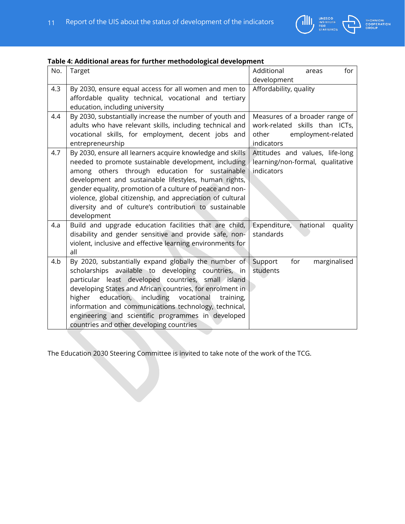

| Table 4: Additional areas for further methodological development |  |  |  |
|------------------------------------------------------------------|--|--|--|
|------------------------------------------------------------------|--|--|--|

| No. | Target                                                                                                                                                                                                                                                                                                                                                                                                                                          | Additional<br>for<br>areas<br>development                                                                     |
|-----|-------------------------------------------------------------------------------------------------------------------------------------------------------------------------------------------------------------------------------------------------------------------------------------------------------------------------------------------------------------------------------------------------------------------------------------------------|---------------------------------------------------------------------------------------------------------------|
| 4.3 | By 2030, ensure equal access for all women and men to<br>affordable quality technical, vocational and tertiary<br>education, including university                                                                                                                                                                                                                                                                                               | Affordability, quality                                                                                        |
| 4.4 | By 2030, substantially increase the number of youth and<br>adults who have relevant skills, including technical and<br>vocational skills, for employment, decent jobs and<br>entrepreneurship                                                                                                                                                                                                                                                   | Measures of a broader range of<br>work-related skills than ICTs,<br>other<br>employment-related<br>indicators |
| 4.7 | By 2030, ensure all learners acquire knowledge and skills<br>needed to promote sustainable development, including<br>among others through education for sustainable<br>development and sustainable lifestyles, human rights,<br>gender equality, promotion of a culture of peace and non-<br>violence, global citizenship, and appreciation of cultural<br>diversity and of culture's contribution to sustainable<br>development                | Attitudes and values, life-long<br>learning/non-formal, qualitative<br>indicators                             |
| 4.a | Build and upgrade education facilities that are child,<br>disability and gender sensitive and provide safe, non-<br>violent, inclusive and effective learning environments for<br>all                                                                                                                                                                                                                                                           | Expenditure,<br>national<br>quality<br>standards                                                              |
| 4.b | By 2020, substantially expand globally the number of<br>scholarships available to developing countries, in<br>particular least developed countries, small island<br>developing States and African countries, for enrolment in<br>higher education, including vocational<br>training,<br>information and communications technology, technical,<br>engineering and scientific programmes in developed<br>countries and other developing countries | Support<br>for<br>marginalised<br>students                                                                    |

The Education 2030 Steering Committee is invited to take note of the work of the TCG.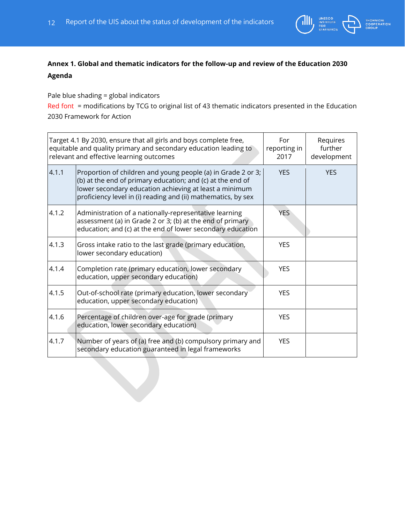

### **Annex 1. Global and thematic indicators for the follow-up and review of the Education 2030 Agenda**

Pale blue shading = global indicators

Red font = modifications by TCG to original list of 43 thematic indicators presented in the Education 2030 Framework for Action

| Target 4.1 By 2030, ensure that all girls and boys complete free,<br>equitable and quality primary and secondary education leading to<br>relevant and effective learning outcomes |                                                                                                                                                                                                                                                       | For<br>reporting in<br>2017 | Requires<br>further<br>development |
|-----------------------------------------------------------------------------------------------------------------------------------------------------------------------------------|-------------------------------------------------------------------------------------------------------------------------------------------------------------------------------------------------------------------------------------------------------|-----------------------------|------------------------------------|
| 4.1.1                                                                                                                                                                             | Proportion of children and young people (a) in Grade 2 or 3;<br>(b) at the end of primary education; and (c) at the end of<br>lower secondary education achieving at least a minimum<br>proficiency level in (i) reading and (ii) mathematics, by sex | <b>YES</b>                  | <b>YES</b>                         |
| 4.1.2                                                                                                                                                                             | Administration of a nationally-representative learning<br>assessment (a) in Grade 2 or 3; (b) at the end of primary<br>education; and (c) at the end of lower secondary education                                                                     | <b>YES</b>                  |                                    |
| 4.1.3                                                                                                                                                                             | Gross intake ratio to the last grade (primary education,<br>lower secondary education)                                                                                                                                                                | <b>YES</b>                  |                                    |
| 4.1.4                                                                                                                                                                             | Completion rate (primary education, lower secondary<br>education, upper secondary education)                                                                                                                                                          | <b>YES</b>                  |                                    |
| 4.1.5                                                                                                                                                                             | Out-of-school rate (primary education, lower secondary<br>education, upper secondary education)                                                                                                                                                       | <b>YES</b>                  |                                    |
| 4.1.6                                                                                                                                                                             | Percentage of children over-age for grade (primary<br>education, lower secondary education)                                                                                                                                                           | <b>YES</b>                  |                                    |
| 4.1.7                                                                                                                                                                             | Number of years of (a) free and (b) compulsory primary and<br>secondary education guaranteed in legal frameworks                                                                                                                                      | <b>YES</b>                  |                                    |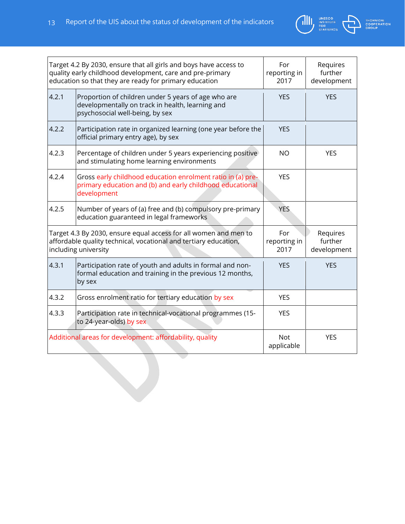

| TECHNICAL          |
|--------------------|
| <b>COOPERATION</b> |
| <b>GROUP</b>       |

| Target 4.2 By 2030, ensure that all girls and boys have access to<br>quality early childhood development, care and pre-primary<br>education so that they are ready for primary education |                                                                                                                                            | For<br>reporting in<br>2017 | Requires<br>further<br>development |
|------------------------------------------------------------------------------------------------------------------------------------------------------------------------------------------|--------------------------------------------------------------------------------------------------------------------------------------------|-----------------------------|------------------------------------|
| 4.2.1                                                                                                                                                                                    | Proportion of children under 5 years of age who are<br>developmentally on track in health, learning and<br>psychosocial well-being, by sex | <b>YES</b>                  | <b>YES</b>                         |
| 4.2.2                                                                                                                                                                                    | Participation rate in organized learning (one year before the<br>official primary entry age), by sex                                       | <b>YES</b>                  |                                    |
| 4.2.3                                                                                                                                                                                    | Percentage of children under 5 years experiencing positive<br>and stimulating home learning environments                                   | <b>NO</b>                   | <b>YES</b>                         |
| 4.2.4<br>development                                                                                                                                                                     | Gross early childhood education enrolment ratio in (a) pre-<br>primary education and (b) and early childhood educational                   | <b>YES</b>                  |                                    |
| 4.2.5                                                                                                                                                                                    | Number of years of (a) free and (b) compulsory pre-primary<br>education guaranteed in legal frameworks                                     | YES.                        |                                    |
| Target 4.3 By 2030, ensure equal access for all women and men to<br>affordable quality technical, vocational and tertiary education,<br>including university                             |                                                                                                                                            | For<br>reporting in<br>2017 | Requires<br>further<br>development |
| 4.3.1<br>by sex                                                                                                                                                                          | Participation rate of youth and adults in formal and non-<br>formal education and training in the previous 12 months,                      | <b>YES</b>                  | <b>YES</b>                         |
| 4.3.2                                                                                                                                                                                    | Gross enrolment ratio for tertiary education by sex                                                                                        | <b>YES</b>                  |                                    |
| 4.3.3<br>to 24-year-olds) by sex                                                                                                                                                         | Participation rate in technical-vocational programmes (15-                                                                                 | <b>YES</b>                  |                                    |
| Additional areas for development: affordability, quality                                                                                                                                 |                                                                                                                                            | <b>Not</b><br>applicable    | <b>YES</b>                         |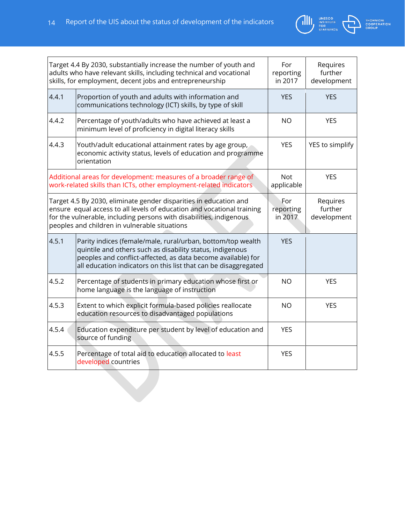



| Target 4.4 By 2030, substantially increase the number of youth and<br>adults who have relevant skills, including technical and vocational<br>skills, for employment, decent jobs and entrepreneurship                                                               |                                                                                                                                                                                                                                                             | For<br>reporting<br>in 2017 | Requires<br>further<br>development |
|---------------------------------------------------------------------------------------------------------------------------------------------------------------------------------------------------------------------------------------------------------------------|-------------------------------------------------------------------------------------------------------------------------------------------------------------------------------------------------------------------------------------------------------------|-----------------------------|------------------------------------|
| 4.4.1                                                                                                                                                                                                                                                               | Proportion of youth and adults with information and<br>communications technology (ICT) skills, by type of skill                                                                                                                                             | <b>YES</b>                  | <b>YES</b>                         |
| 4.4.2                                                                                                                                                                                                                                                               | Percentage of youth/adults who have achieved at least a<br>minimum level of proficiency in digital literacy skills                                                                                                                                          | <b>NO</b>                   | <b>YES</b>                         |
| 4.4.3                                                                                                                                                                                                                                                               | Youth/adult educational attainment rates by age group,<br>economic activity status, levels of education and programme<br>orientation                                                                                                                        | <b>YES</b>                  | YES to simplify                    |
|                                                                                                                                                                                                                                                                     | Additional areas for development: measures of a broader range of<br>work-related skills than ICTs, other employment-related indicators                                                                                                                      | <b>Not</b><br>applicable    | <b>YES</b>                         |
| Target 4.5 By 2030, eliminate gender disparities in education and<br>ensure equal access to all levels of education and vocational training<br>for the vulnerable, including persons with disabilities, indigenous<br>peoples and children in vulnerable situations |                                                                                                                                                                                                                                                             | For<br>reporting<br>in 2017 | Requires<br>further<br>development |
| 4.5.1                                                                                                                                                                                                                                                               | Parity indices (female/male, rural/urban, bottom/top wealth<br>quintile and others such as disability status, indigenous<br>peoples and conflict-affected, as data become available) for<br>all education indicators on this list that can be disaggregated | <b>YES</b>                  |                                    |
| 4.5.2                                                                                                                                                                                                                                                               | Percentage of students in primary education whose first or<br>home language is the language of instruction                                                                                                                                                  | <b>NO</b>                   | <b>YES</b>                         |
| 4.5.3                                                                                                                                                                                                                                                               | Extent to which explicit formula-based policies reallocate<br>education resources to disadvantaged populations                                                                                                                                              | <b>NO</b>                   | <b>YES</b>                         |
| 4.5.4                                                                                                                                                                                                                                                               | Education expenditure per student by level of education and<br>source of funding                                                                                                                                                                            | <b>YES</b>                  |                                    |
| 4.5.5                                                                                                                                                                                                                                                               | Percentage of total aid to education allocated to least<br>developed countries                                                                                                                                                                              | <b>YES</b>                  |                                    |
|                                                                                                                                                                                                                                                                     |                                                                                                                                                                                                                                                             |                             |                                    |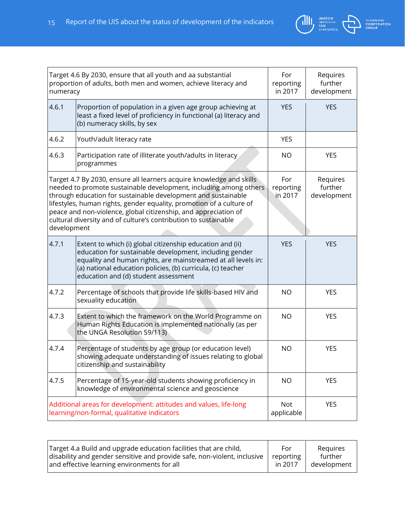

| Target 4.6 By 2030, ensure that all youth and aa substantial<br>proportion of adults, both men and women, achieve literacy and<br>numeracy                                                                                                                                                                                                                                                                                              |                                                                                                                                                                                                                                                                                              | For<br>reporting<br>in 2017 | Requires<br>further<br>development |
|-----------------------------------------------------------------------------------------------------------------------------------------------------------------------------------------------------------------------------------------------------------------------------------------------------------------------------------------------------------------------------------------------------------------------------------------|----------------------------------------------------------------------------------------------------------------------------------------------------------------------------------------------------------------------------------------------------------------------------------------------|-----------------------------|------------------------------------|
| 4.6.1                                                                                                                                                                                                                                                                                                                                                                                                                                   | Proportion of population in a given age group achieving at<br>least a fixed level of proficiency in functional (a) literacy and<br>(b) numeracy skills, by sex                                                                                                                               | <b>YES</b>                  | <b>YES</b>                         |
| 4.6.2                                                                                                                                                                                                                                                                                                                                                                                                                                   | Youth/adult literacy rate                                                                                                                                                                                                                                                                    | <b>YES</b>                  |                                    |
| 4.6.3                                                                                                                                                                                                                                                                                                                                                                                                                                   | Participation rate of illiterate youth/adults in literacy<br>programmes                                                                                                                                                                                                                      | <b>NO</b>                   | <b>YES</b>                         |
| Target 4.7 By 2030, ensure all learners acquire knowledge and skills<br>needed to promote sustainable development, including among others<br>through education for sustainable development and sustainable<br>lifestyles, human rights, gender equality, promotion of a culture of<br>peace and non-violence, global citizenship, and appreciation of<br>cultural diversity and of culture's contribution to sustainable<br>development |                                                                                                                                                                                                                                                                                              | For<br>reporting<br>in 2017 | Requires<br>further<br>development |
| 4.7.1                                                                                                                                                                                                                                                                                                                                                                                                                                   | Extent to which (i) global citizenship education and (ii)<br>education for sustainable development, including gender<br>equality and human rights, are mainstreamed at all levels in:<br>(a) national education policies, (b) curricula, (c) teacher<br>education and (d) student assessment | <b>YES</b>                  | <b>YES</b>                         |
| 4.7.2                                                                                                                                                                                                                                                                                                                                                                                                                                   | Percentage of schools that provide life skills-based HIV and<br>sexuality education                                                                                                                                                                                                          | <b>NO</b>                   | <b>YES</b>                         |
| 4.7.3                                                                                                                                                                                                                                                                                                                                                                                                                                   | Extent to which the framework on the World Programme on<br>Human Rights Education is implemented nationally (as per<br>the UNGA Resolution 59/113)                                                                                                                                           | <b>NO</b>                   | <b>YES</b>                         |
| 4.7.4                                                                                                                                                                                                                                                                                                                                                                                                                                   | Percentage of students by age group (or education level)<br>showing adequate understanding of issues relating to global<br>citizenship and sustainability                                                                                                                                    | <b>NO</b>                   | <b>YES</b>                         |
| 4.7.5                                                                                                                                                                                                                                                                                                                                                                                                                                   | Percentage of 15-year-old students showing proficiency in<br>knowledge of environmental science and geoscience                                                                                                                                                                               | <b>NO</b>                   | <b>YES</b>                         |
|                                                                                                                                                                                                                                                                                                                                                                                                                                         | Additional areas for development: attitudes and values, life-long<br>learning/non-formal, qualitative indicators                                                                                                                                                                             | <b>Not</b><br>applicable    | <b>YES</b>                         |

| Target 4.a Build and upgrade education facilities that are child,        | For       | Reguires    |
|--------------------------------------------------------------------------|-----------|-------------|
| disability and gender sensitive and provide safe, non-violent, inclusive | reporting | further     |
| and effective learning environments for all                              | in 2017   | development |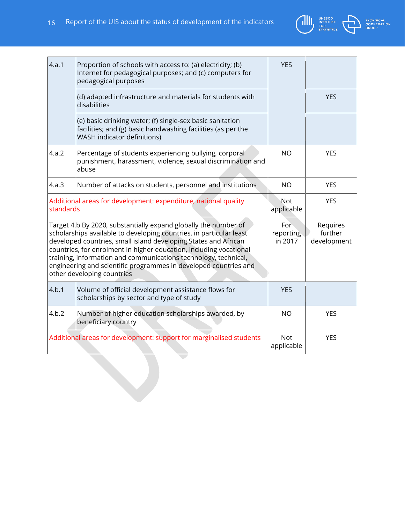

| 4.a.1                                                                        | Proportion of schools with access to: (a) electricity; (b)<br>Internet for pedagogical purposes; and (c) computers for<br>pedagogical purposes                                                                                                                                                                                                                                                                                                       | <b>YES</b>                   |                                    |
|------------------------------------------------------------------------------|------------------------------------------------------------------------------------------------------------------------------------------------------------------------------------------------------------------------------------------------------------------------------------------------------------------------------------------------------------------------------------------------------------------------------------------------------|------------------------------|------------------------------------|
|                                                                              | (d) adapted infrastructure and materials for students with<br>disabilities                                                                                                                                                                                                                                                                                                                                                                           |                              | <b>YES</b>                         |
|                                                                              | (e) basic drinking water; (f) single-sex basic sanitation<br>facilities; and (g) basic handwashing facilities (as per the<br>WASH indicator definitions)                                                                                                                                                                                                                                                                                             |                              |                                    |
| 4.a.2                                                                        | Percentage of students experiencing bullying, corporal<br>punishment, harassment, violence, sexual discrimination and<br>abuse                                                                                                                                                                                                                                                                                                                       | <b>NO</b>                    | <b>YES</b>                         |
| 4.a.3                                                                        | Number of attacks on students, personnel and institutions                                                                                                                                                                                                                                                                                                                                                                                            | <b>NO</b>                    | <b>YES</b>                         |
| Additional areas for development: expenditure, national quality<br>standards |                                                                                                                                                                                                                                                                                                                                                                                                                                                      | Not<br>applicable            | <b>YES</b>                         |
|                                                                              | Target 4.b By 2020, substantially expand globally the number of<br>scholarships available to developing countries, in particular least<br>developed countries, small island developing States and African<br>countries, for enrolment in higher education, including vocational<br>training, information and communications technology, technical,<br>engineering and scientific programmes in developed countries and<br>other developing countries | For-<br>reporting<br>in 2017 | Requires<br>further<br>development |
| 4.b.1                                                                        | Volume of official development assistance flows for<br>scholarships by sector and type of study                                                                                                                                                                                                                                                                                                                                                      | <b>YES</b>                   |                                    |
| 4.b.2                                                                        | Number of higher education scholarships awarded, by<br>beneficiary country                                                                                                                                                                                                                                                                                                                                                                           | <b>NO</b>                    | <b>YES</b>                         |
|                                                                              | Additional areas for development: support for marginalised students                                                                                                                                                                                                                                                                                                                                                                                  | <b>Not</b><br>applicable     | <b>YES</b>                         |